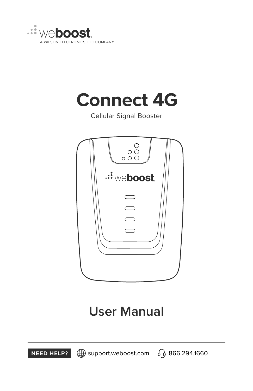

## **Connect 4G**

Cellular Signal Booster



# **User Manual**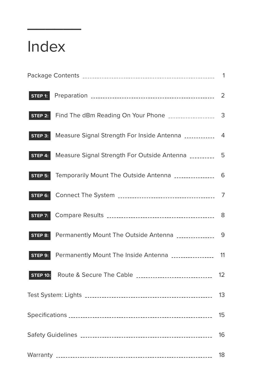### **\_\_\_\_\_\_** Index

|                 |                                                           | 1  |
|-----------------|-----------------------------------------------------------|----|
| STEP 1:         |                                                           | 2  |
| STEP 2:         |                                                           | 3  |
| $STEP$ 3:       | Measure Signal Strength For Inside Antenna                | 4  |
| STEP 4:         | Measure Signal Strength For Outside Antenna __________    | 5  |
| STEP 5:         | Temporarily Mount The Outside Antenna ________________    | 6  |
| STEP 6:         |                                                           | 7  |
| <b>STEP 7:</b>  |                                                           | 8  |
| STEP 8:         | Permanently Mount The Outside Antenna ______________      | 9  |
| STEP 9:         | Permanently Mount The Inside Antenna                      | 11 |
| <b>STEP 10:</b> | Route & Secure The Cable ________________________________ | 12 |
|                 |                                                           |    |
|                 |                                                           |    |
|                 |                                                           |    |
|                 |                                                           | 18 |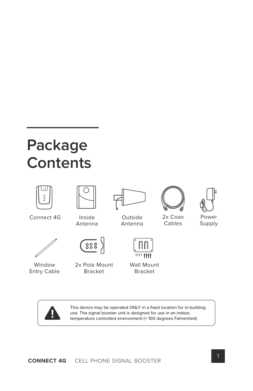## **Package Contents**





This device may be operated ONLY in a fixed location for in-building use. The signal booster unit is designed for use in an indoor, temperature controlled environment (< 100 degrees Fahrenheit)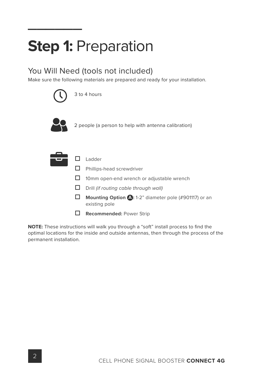### **\_\_\_\_\_\_ Step 1:** Preparation

### You Will Need (tools not included)

Make sure the following materials are prepared and ready for your installation.



3 to 4 hours



2 people (a person to help with antenna calibration)

|  | l adder                                                                 |
|--|-------------------------------------------------------------------------|
|  | Phillips-head screwdriver                                               |
|  | 10mm open-end wrench or adjustable wrench                               |
|  | Drill (if routing cable through wall)                                   |
|  | Mounting Option (2: 1-2" diameter pole (#901117) or an<br>existing pole |
|  | <b>Recommended: Power Strip</b>                                         |

NOTE: These instructions will walk you through a "soft" install process to find the optimal locations for the inside and outside antennas, then through the process of the permanent installation.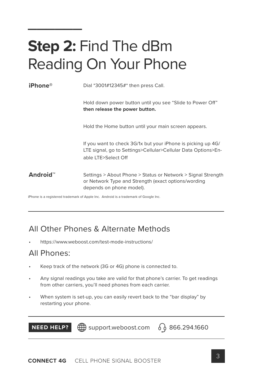### **\_\_\_\_\_\_ Step 2:** Find The dBm Reading On Your Phone

| iPhone <sup>®</sup>  | Dial *3001#12345#* then press Call.                                                                                                                  |
|----------------------|------------------------------------------------------------------------------------------------------------------------------------------------------|
|                      | Hold down power button until you see "Slide to Power Off"<br>then release the power button.                                                          |
|                      | Hold the Home button until your main screen appears.                                                                                                 |
|                      | If you want to check 3G/1x but your iPhone is picking up 4G/<br>LTE signal, go to Settings>Cellular>Cellular Data Options>En-<br>able LTE>Select Off |
| Android <sup>™</sup> | Settings > About Phone > Status or Network > Signal Strength<br>or Network Type and Strength (exact options/wording<br>depends on phone model).      |

iPhone is a registered trademark of Apple Inc. Android is a trademark of Google Inc.

### All Other Phones & Alternate Methods

• https://www.weboost.com/test-mode-instructions/

### All Phones:

- Keep track of the network (3G or 4G) phone is connected to.
- Any signal readings you take are valid for that phone's carrier. To get readings from other carriers, you'll need phones from each carrier.
- When system is set-up, you can easily revert back to the "bar display" by restarting your phone.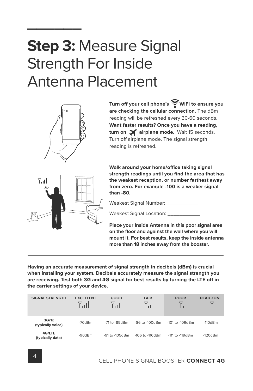## **\_\_\_\_\_\_ Step 3:** Measure Signal Strength For Inside Antenna Placement



 $7.11$ 

**Turn off your cell phone's WiFi to ensure you are checking the cellular connection.** The dBm reading will be refreshed every 30-60 seconds. **Want faster results? Once you have a reading,**  turn on **a** airplane mode. Wait 15 seconds. Turn off airplane mode. The signal strength reading is refreshed.

**Walk around your home/office taking signal** strength readings until you find the area that has **the weakest reception, or number farthest away from zero. For example -100 is a weaker signal than -80.**



Weakest Signal Location: \_\_\_\_\_

**Place your Inside Antenna in this poor signal area**  on the floor and against the wall where you will **mount it. For best results, keep the inside antenna more than 18 inches away from the booster.**

**Having an accurate measurement of signal strength in decibels (dBm) is crucial when installing your system. Decibels accurately measure the signal strength you are receiving. Test both 3G and 4G signal for best results by turning the LTE off in the carrier settings of your device.**

| <b>SIGNAL STRENGTH</b>     | <b>EXCELLENT</b><br>7. all | GOOD<br>7.ıI        | <b>FAIR</b><br>ا د ا | <b>POOR</b>          | <b>DEAD ZONE</b> |
|----------------------------|----------------------------|---------------------|----------------------|----------------------|------------------|
| 3G/1x<br>(typically voice) | $-70dBm$                   | $-71$ to $-85$ dBm  | -86 to -100dBm       | $-101$ to $-109$ dBm | $-110dBm$        |
| 4G/LTE<br>(typically data) | -90dBm                     | $-91$ to $-105$ dBm | $-106$ to $-110$ dBm | $-111$ to $-119$ dBm | $-120dBm$        |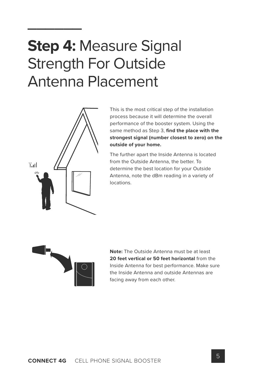## **\_\_\_\_\_\_ Step 4:** Measure Signal Strength For Outside Antenna Placement



This is the most critical step of the installation process because it will determine the overall performance of the booster system. Using the same method as Step 3, find the place with the **strongest signal (number closest to zero) on the outside of your home.** 

The further apart the Inside Antenna is located from the Outside Antenna, the better. To determine the best location for your Outside Antenna, note the dBm reading in a variety of locations.



**Note:** The Outside Antenna must be at least **20 feet vertical or 50 feet horizontal** from the Inside Antenna for best performance. Make sure the Inside Antenna and outside Antennas are facing away from each other.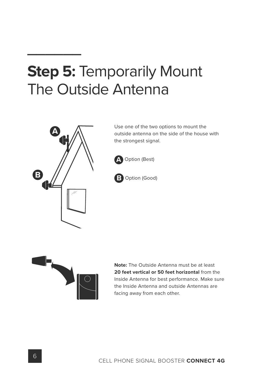### **\_\_\_\_\_\_ Step 5:** Temporarily Mount The Outside Antenna



Use one of the two options to mount the outside antenna on the side of the house with the strongest signal.







**Note:** The Outside Antenna must be at least **20 feet vertical or 50 feet horizontal** from the Inside Antenna for best performance. Make sure the Inside Antenna and outside Antennas are facing away from each other.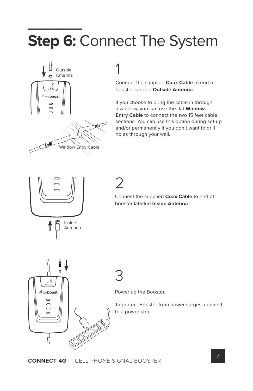### **Step 6:** ( **Step 6:** Connect The System



## 1

Connect the supplied **Coax Cable** to end of booster labeled **Outside Antenna**.

If you choose to bring the cable in through a window, you can use the flat **Window Entry Cable** to connect the two 15 feet cable sections. You can use this option during set-up and/or permanently if you don't want to drill holes through your wall.



2

Connect the supplied **Coax Cable** to end of booster labeled **Inside Antenna**.



## 3

Power up the Booster.

To protect Booster from power surges, connect to a power strip.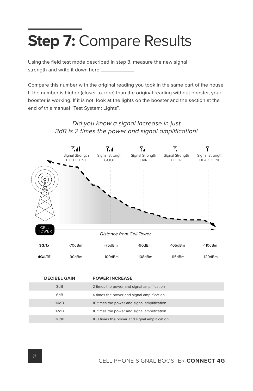### **Step 7:** ( **Step 7:** Compare Results

Using the field test mode described in step 3, measure the new signal strength and write it down here \_\_\_\_\_\_\_\_\_\_\_.

Compare this number with the original reading you took in the same part of the house. If the number is higher (closer to zero) than the original reading without booster, your booster is working. If it is not, look at the lights on the booster and the section at the end of this manual "Test System: Lights".

#### *Did you know a signal increase in just* 3dB is 2 times the power and signal amplification!



| <b>DECIBEL GAIN</b> | <b>POWER INCREASE</b>                        |
|---------------------|----------------------------------------------|
| 3dB                 | 2 times the power and signal amplification   |
| 6dB                 | 4 times the power and signal amplification   |
| 10dB                | 10 times the power and signal amplification  |
| 12dB                | 16 times the power and signal amplification  |
| 20dB                | 100 times the power and signal amplification |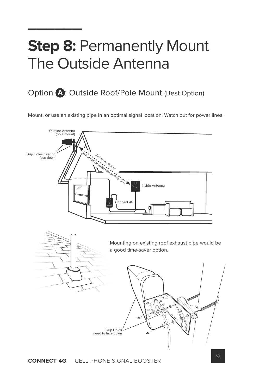### **\_\_\_\_\_\_ Step 8:** Permanently Mount The Outside Antenna

### Option **A**: Outside Roof/Pole Mount (Best Option)

Mount, or use an existing pipe in an optimal signal location. Watch out for power lines.

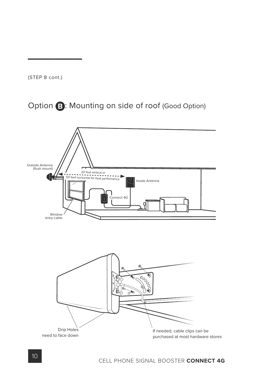(STEP 8 cont.)

**\_\_\_\_\_\_**

### Option **B**: Mounting on side of roof (Good Option)

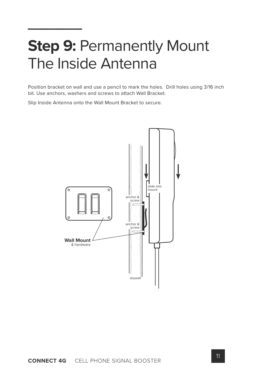### **\_\_\_\_\_\_ Step 9:** Permanently Mount The Inside Antenna

Position bracket on wall and use a pencil to mark the holes. Drill holes using 3/16 inch bit. Use anchors, washers and screws to attach Wall Bracket.

Slip Inside Antenna onto the Wall Mount Bracket to secure.

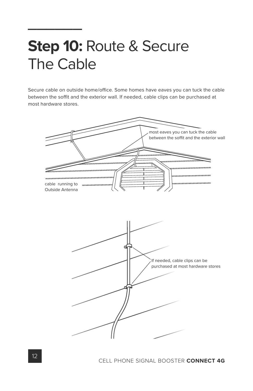### **\_\_\_\_\_\_ Step 10:** Route & Secure The Cable

Secure cable on outside home/office. Some homes have eaves you can tuck the cable between the soffit and the exterior wall. If needed, cable clips can be purchased at most hardware stores.

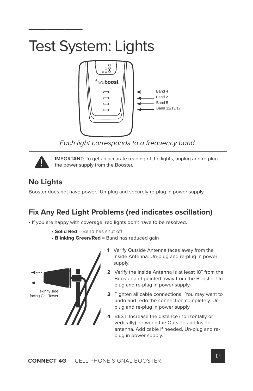### **\_\_\_\_\_\_** Test System: Lights



*Each light corresponds to a frequency band.*



**IMPORTANT:** To get an accurate reading of the lights, unplug and re-plug the power supply from the Booster.

### **No Lights**

Booster does not have power. Un-plug and securely re-plug in power supply.

### **Fix Any Red Light Problems (red indicates oscillation)**

• If you are happy with coverage, red lights don't have to be resolved.

- **Solid Red** = Band has shut off
- **Blinking Green/Red** = Band has reduced gain



- **1** Verify Outside Antenna faces away from the Inside Antenna. Un-plug and re-plug in power supply.
- **2** Verify the Inside Antenna is at least 18" from the Booster and pointed away from the Booster. Unplug and re-plug in power supply.
- **3** Tighten all cable connections. You may want to undo and redo the connection completely. Unplug and re-plug in power supply.
- **4** BEST: Increase the distance (horizontally or vertically) between the Outside and Inside antenna. Add cable if needed. Un-plug and replug in power supply.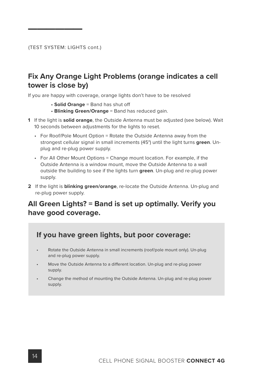#### **Fix Any Orange Light Problems (orange indicates a cell tower is close by)**

If you are happy with coverage, orange lights don't have to be resolved

- **Solid Orange** = Band has shut off
- **Blinking Green/Orange** = Band has reduced gain.
- **1** If the light is **solid orange**, the Outside Antenna must be adjusted (see below). Wait 10 seconds between adjustments for the lights to reset.
	- For Roof/Pole Mount Option = Rotate the Outside Antenna away from the strongest cellular signal in small increments (45°) until the light turns **green**. Unplug and re-plug power supply.
	- For All Other Mount Options = Change mount location. For example, if the Outside Antenna is a window mount, move the Outside Antenna to a wall outside the building to see if the lights turn **green**. Un-plug and re-plug power supply.
- **2** If the light is **blinking green/orange**, re-locate the Outside Antenna. Un-plug and re-plug power supply.

### **All Green Lights? = Band is set up optimally. Verify you have good coverage.**

#### **If you have green lights, but poor coverage:**

- Rotate the Outside Antenna in small increments (roof/pole mount only). Un-plug and re-plug power supply.
- Move the Outside Antenna to a different location. Un-plug and re-plug power supply.
- Change the method of mounting the Outside Antenna. Un-plug and re-plug power supply.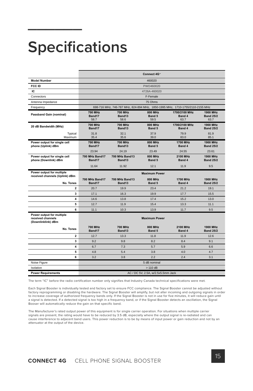## **Specifications**

|                                                                      |                                                                               |                                  | Connect 4G <sup>*</sup>   |                                 |                                             |  |
|----------------------------------------------------------------------|-------------------------------------------------------------------------------|----------------------------------|---------------------------|---------------------------------|---------------------------------------------|--|
| <b>Model Number</b>                                                  | 460020                                                                        |                                  |                           |                                 |                                             |  |
| FCC ID                                                               | PWO460020                                                                     |                                  |                           |                                 |                                             |  |
| IC                                                                   | 4726A-460020                                                                  |                                  |                           |                                 |                                             |  |
| Connectors                                                           |                                                                               |                                  | F-Female                  |                                 |                                             |  |
| Antenna Impedance                                                    |                                                                               |                                  | 75 Ohms                   |                                 |                                             |  |
| Frequency                                                            | 698-716 MHz, 746-787 MHz, 824-894 MHz, 1850-1995 MHz, 1710-1755/2110-2155 MHz |                                  |                           |                                 |                                             |  |
| Passband Gain (nominal)                                              | <b>700 MHz</b><br>Band17<br>58.7                                              | <b>700 MHz</b><br>Band13<br>58.6 | 800 MHz<br>Band 5<br>59.5 | 1700/2100 MHz<br>Band 4<br>63.7 | <b>1900 MHz</b><br><b>Band 25/2</b><br>63.7 |  |
| 20 dB Bandwidth (MHz)                                                | <b>700 MHz</b><br>Band17                                                      | <b>700 MHz</b><br>Band13         | 800 MHz<br>Band 5         | 1700/2100 MHz<br>Band 4         | <b>1900 MHz</b><br><b>Band 25/2</b>         |  |
| Typical<br>Maximum                                                   | 31.8<br>35.4                                                                  | 32.1<br>35.6                     | 37.9<br>39.0              | 79.9<br>83.0                    | 81.9<br>85.1                                |  |
| Power output for single cell<br>phone (Uplink) dBm                   | 700 MHz<br>Band17                                                             | <b>700 MHz</b><br>Band13         | 800 MHz<br>Band 5         | <b>1700 MHz</b><br>Band 4       | <b>1900 MHz</b><br><b>Band 25/2</b>         |  |
|                                                                      | 23.94                                                                         | 24.19                            | 23.49                     | 24.55                           | 23.61                                       |  |
| Power output for single cell<br>phone (Downlink) dBm                 | <b>700 MHz Band17</b><br>Band17                                               | <b>700 MHz Band13</b><br>Band13  | 800 MHz<br>Band 5         | 2100 MHz<br>Band 4              | <b>1900 MHz</b><br><b>Band 25/2</b>         |  |
|                                                                      | 11.64                                                                         | 11.92                            | 12.1                      | 11.9                            | 9.5                                         |  |
| Power output for multiple<br>received channels (Uplink) dBm          | <b>Maximum Power</b>                                                          |                                  |                           |                                 |                                             |  |
| No. Tones                                                            | <b>700 MHz Band17</b><br>Band17                                               | 700 MHz Band13<br>Band13         | 800 MHz<br>Band 5         | 1700 MHz<br>Band 4              | <b>1900 MHz</b><br><b>Band 25/2</b>         |  |
| $\overline{\mathbf{2}}$                                              | 20.7                                                                          | 19.9                             | 23.4                      | 21.2                            | 19.1                                        |  |
| 3                                                                    | 17.1                                                                          | 16.3                             | 19.9                      | 17.7                            | 15.5                                        |  |
| 4                                                                    | 14.6                                                                          | 13.8                             | 17.4                      | 15.2                            | 13.0                                        |  |
| 5                                                                    | 12.7                                                                          | 11.9                             | 15.4                      | 13.3                            | 11.1                                        |  |
| 6                                                                    | 11.1                                                                          | 10.3                             | 13.9                      | 11.7                            | 9.5                                         |  |
| Power output for multiple<br>received channels<br>(Downlinklink) dBm | <b>Maximum Power</b>                                                          |                                  |                           |                                 |                                             |  |
| No. Tones                                                            | <b>700 MHz</b><br>Band17                                                      | <b>700 MHz</b><br>Band13         | 800 MHz<br>Band 5         | 2100 MHz<br>Band 4              | <b>1900 MHz</b><br><b>Band 25/2</b>         |  |
| $\overline{2}$                                                       | 12.7                                                                          | 13.3                             | 11.8                      | 11.9                            | 12.6                                        |  |
| 3                                                                    | 9.2                                                                           | 9.8                              | 8.2                       | 8.4                             | 9.1                                         |  |
| $\overline{\mathbf{4}}$                                              | 6.7                                                                           | 7.3                              | 5.7                       | 5.9                             | 6.6                                         |  |
| 5                                                                    | 4.8                                                                           | 5.4                              | 3.8                       | 4.0                             | 4.7                                         |  |
| 6                                                                    | 3.2                                                                           | 3.8                              | 2.2                       | 2.4                             | 3.1                                         |  |
| Noise Figure                                                         |                                                                               |                                  | 5 dB nominal              |                                 |                                             |  |
| Isolation                                                            | $>110$ dB                                                                     |                                  |                           |                                 |                                             |  |
| <b>Power Requirements</b>                                            | AC / DC 5V, 2.5A, w/2.5x5.5mm Jack                                            |                                  |                           |                                 |                                             |  |

The term "IC" before the radio certification number only signifies that Industry Canada technical specifications were met.

Each Signal Booster is individually tested and factory set to ensure FCC compliance. The Signal Booster cannot be adjusted without factory reprogramming or disabling the hardware. The Signal Booster will amplify, but not alter incoming and outgoing signals in order to increase coverage of authorized frequency bands only. If the Signal Booster is not in use for five minutes, it will reduce gain until a signal is detected. If a detected signal is too high in a frequency band, or if the Signal Booster detects an oscillation, the Signal Booser will automatically reduce the gain on that specific band.

The Manufacturer's rated output power of this equipment is for single carrier operation. For situations when multiple carrier signals are present, the rating would have to be reduced by 3.5 dB, especially where the output signal is re-radiated and can cause interference to adjacent band users. This power reduction is to be by means of input power or gain reduction and not by an attenuator at the output of the device.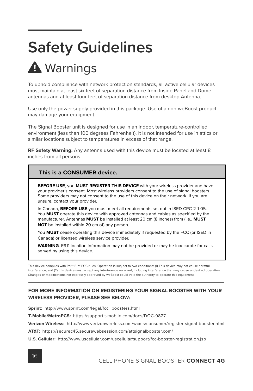## **Safety Guidelines**

## **A** Warnings

To uphold compliance with network protection standards, all active cellular devices must maintain at least six feet of separation distance from Inside Panel and Dome antennas and at least four feet of separation distance from desktop Antenna.

Use only the power supply provided in this package. Use of a non-weBoost product may damage your equipment.

The Signal Booster unit is designed for use in an indoor, temperature-controlled environment (less than 100 degrees Fahrenheit). It is not intended for use in attics or similar locations subject to temperatures in excess of that range.

**RF Safety Warning:** Any antenna used with this device must be located at least 8 inches from all persons.

#### **This is a CONSUMER device.**

**BEFORE USE**, you **MUST REGISTER THIS DEVICE** with your wireless provider and have your provider's consent. Most wireless providers consent to the use of signal boosters. Some providers may not consent to the use of this device on their network. If you are unsure, contact your provider.

In Canada, **BEFORE USE** you must meet all requirements set out in ISED CPC-2-1-05. You **MUST** operate this device with approved antennas and cables as specified by the manufacturer. Antennas **MUST** be installed at least 20 cm (8 inches) from (i.e., **MUST NOT** be installed within 20 cm of) any person.

You **MUST** cease operating this device immediately if requested by the FCC (or ISED in Canada) or licensed wireless service provider.

**WARNING**. E911 location information may not be provided or may be inaccurate for calls served by using this device.

This device complies with Part 15 of FCC rules. Operation is subject to two conditions: (1) This device may not cause harmful interference, and (2) this device must accept any interference received, including interference that may cause undesired operation. Changes or modifications not expressly approved by weBoost could void the authority to operate this equipment.

#### **FOR MORE INFORMATION ON REGISTERING YOUR SIGNAL BOOSTER WITH YOUR WIRELESS PROVIDER, PLEASE SEE BELOW:**

**Sprint:** http://www.sprint.com/legal/fcc\_boosters.html

**T-Mobile/MetroPCS:** https://support.t-mobile.com/docs/DOC-9827

**Verizon Wireless:** http://www.verizonwireless.com/wcms/consumer/register-signal-booster.html

**AT&T:** https://securec45.securewebsession.com/attsignalbooster.com/

**U.S. Cellular:** http://www.uscellular.com/uscellular/support/fcc-booster-registration.jsp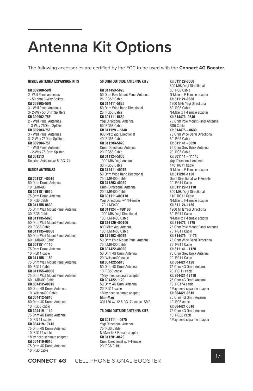## **Antenna Kit Options**

The following accessories are certified by the FCC to be used with the **Connect 4G Booster**.

#### **INSIDE ANTENNA EXPANSION KITS**

#### **Kit 309900-50N**

2- Wall Panel antennas 1- 50 ohm 3-Way Splitter **Kit 309905-50N** 3 - Wall Panel Antennas 3- 2-Way 50 Ohm Splitters **Kit 309902-75F** 2 - Wall Panel Antennas 1-3-Way 75Ohm Splitter **Kit 309903-75F** 3 - Wall Panel Antennas 3- 2-Way 75Ohm Splitters **Kit 309904-75F** 1 - Wall Panel Antenna 1- 2-Way 75 Ohm Splitter **Kit 301213** Desktop Antenna w/ 5' RG174

#### **INSIDE ANTENNAS**

**Kit 301121-40010** 50 Ohm Dome Antenna 10' LMR400 **Kit 301151-0610** 75 Ohm Dome Antenna 10' RG6 Cable **Kit 311155-0630** 75 Ohm Wall Mount Panel Antenna 30' RG6 Cable **Kit 311135-5820** 50 Ohm Wall Mount Panel Antenna 20' RG58 Cable **Kit 311135-40060** 50 Ohm Wall Mount Panel Antenna 60' LMR400 Cable **Kit 301151-1110** 75 Ohm Dome Antenna 10' RG11 cable **Kit 311155-1150** 75 Ohm Wall Mount Panel Antenna 50' RG11 Cable **Kit 311155-40060** 75 Ohm Wall Mount Panel Antenna 60' LMR400 Cable **Kit 304412-40010** 50 Ohm 4G Dome Antenna 10' Wilson400 Cable **Kit 304412-5810** 50 Ohm 4G Dome Antenna 10' RG58 cable **Kit 304419-1110** 75 Ohm 4G Dome Antenna 10' RG 11 cable **Kit 304419-17410** 75 Ohm 4G Dome Antenna 10' RG174 cable \*May need separate adapter **Kit 304419-0610** 75 Ohm 4G Dome Antenna 10' RG6 cable

#### **50 OHM OUTSIDE ANTENNA KITS**

**Kit 314453-5825** 50 Ohm Pole Mount Panel Antenna 25' RG58 Cable **Kit 314411-5825** 50 Ohm Wide Band Directional 25' RG58 Cable **Kit 301111-5850** Yagi Directional Antenna 50' RG58 Cable **Kit 311129 – 5840** 800 MHz Yagi Directional 40' RG58 Cable **Kit 311203-5820** Omni-Directional Antenna 20' RG58 Cable **Kit 311124-5830** 1900 MHz Yagi Antenna 30' RG58 Cable **Kit 314411-40075** 50 Ohm Wide Band Directional 75' LMR400 Cable **Kit 311203-40020** Omni-Directional Antenna 20' LMR400 Cable **Kit 301111-400170** Yagi Directional w/ N-Female 170' LMR400 **Kit 311124 – 400100** 1900 MHz Yagi Directional 100' LMR400 Cable **Kit 311129-400100** 800 MHz Yagi Antenna 100' LMR400 Cable **Kit 314453-40075** 50 Ohm Pole Mount Panel Antenna 75' LMR400 Cable **Kit 304422-40020** 50 Ohm 4G Omni Antenna 20' Wilson400 cable **Kit 304422-5810** 50 Ohm 4G Omni Antenna 10' RG58 cable \*May need separate adapter **Kit 304422-1120** 50 Ohm 4G Omni Antenna 20' RG11 cable \*May need separate adapter **Mini-Mag** 301126 w/ 12.5 RG174 cable- SMA

#### **75 OHM OUTSIDE ANTENNA KITS**

**Kit 301111 – 0675** Yagi Directional Antenna 75' RG6 Cable N-Male to F-Female adapter **Kit 311201-0620** Omni Directional w/ F-Female 20' RG6 Cable

**Kit 311129-0660** 800 MHz Yagi Directional 60' RG6 Cable N-Male to F-Female adapter **Kit 311124-0650** 1900 MHz Yagi Directional 50' RG6 Cable N-Male to F-Female adapter **Kit 314473 -0640** 75 Ohm Pole Mount Panel Antenna RG6 Cable **Kit 314475 – 0630** 75 Ohm Wide Band Directional 30' RG6 Cable **Kit 311141 - 0620** 75 Ohm Grey Brick Antenna 20' RG6 Cable **Kit 301111 – 11140** Yagi Directional Antenna 140' RG11 Cable N-Male to F-Female adapter **Kit 311201-1120** Omni Directional w/ F-Female 20' RG11 Cable **Kit 311129-11110** 800 MHz Yagi Directional 110' RG11 Cable N-Male to F-Female adapter **Kit 311124-1180** 1900 MHz Yagi Directional 80' RG11 Cable N-Male to F-Female adapter **Kit 314473 -1175** 75 Ohm Pole Mount Panel Antenna 75' RG11 Cable **Kit 314475 – 1175** 75 Ohm Wide Band Directional 75' RG11 Cable **Kit 311141 - 1120** 75 Ohm Grey Brick Antenna 20' RG11 Cable **Kit 304421-1120** 75 Ohm 4G Omni Antenna 20' RG 11 cable **Kit 304421-17410** 75 Ohm 4G Omni Antenna 10' RG174 cable \*May need separate adapter **Kit 304421-0610** 75 Ohm 4G Omni Antenna 10' RG6 cable **Kit 304421-5810** 75 Ohm 4G Omni Antenna 10' RG58 cable \*May need separate adapter

**CONNECT 4G** CELL PHONE SIGNAL BOOSTER